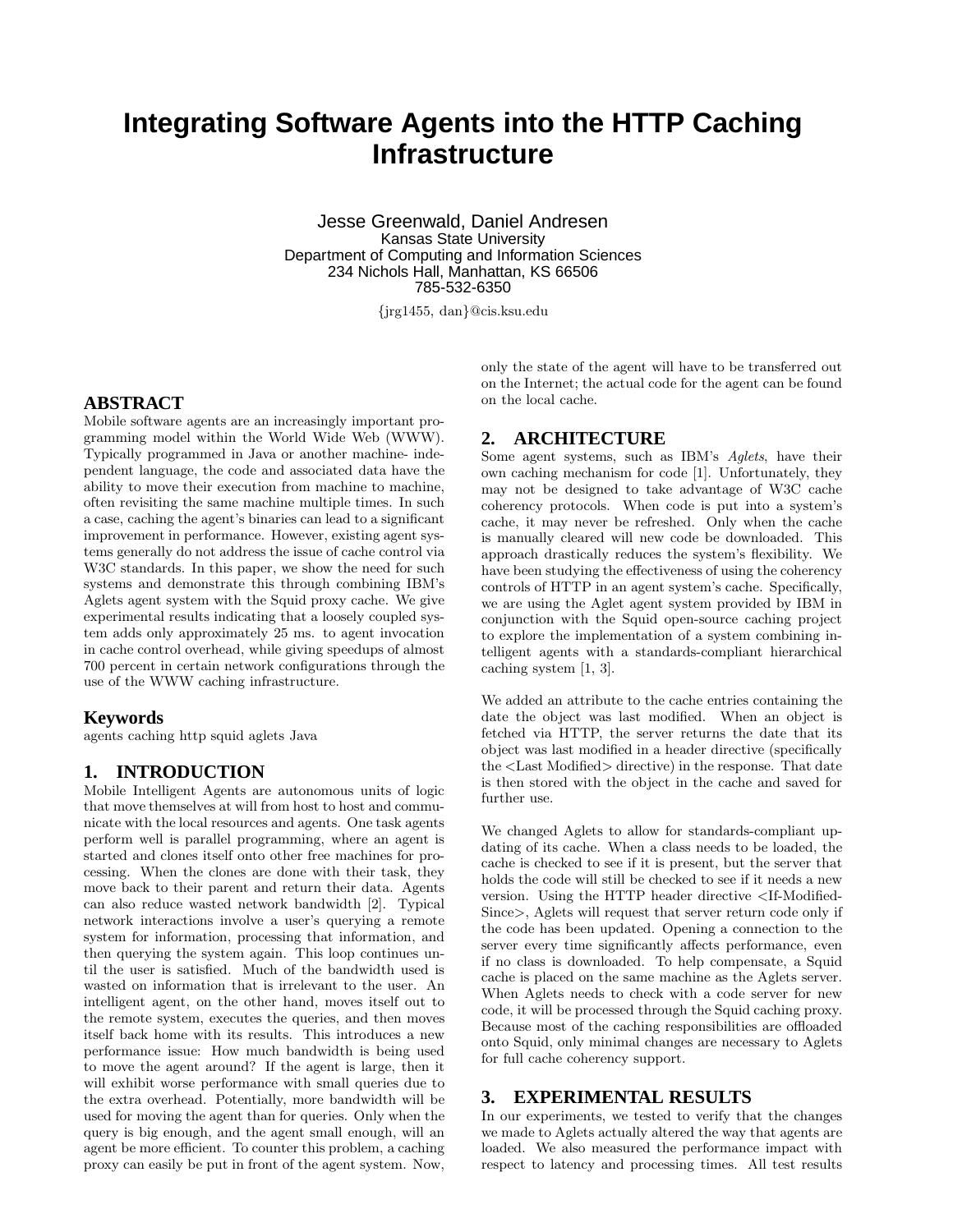# **Integrating Software Agents into the HTTP Caching Infrastructure**

Jesse Greenwald, Daniel Andresen Kansas State University Department of Computing and Information Sciences 234 Nichols Hall, Manhattan, KS 66506 785-532-6350

{jrg1455, dan}@cis.ksu.edu

# **ABSTRACT**

Mobile software agents are an increasingly important programming model within the World Wide Web (WWW). Typically programmed in Java or another machine- independent language, the code and associated data have the ability to move their execution from machine to machine, often revisiting the same machine multiple times. In such a case, caching the agent's binaries can lead to a significant improvement in performance. However, existing agent systems generally do not address the issue of cache control via W<sub>3</sub>C standards. In this paper, we show the need for such systems and demonstrate this through combining IBM's Aglets agent system with the Squid proxy cache. We give experimental results indicating that a loosely coupled system adds only approximately 25 ms. to agent invocation in cache control overhead, while giving speedups of almost 700 percent in certain network configurations through the use of the WWW caching infrastructure.

#### **Keywords**

agents caching http squid aglets Java

## **1. INTRODUCTION**

Mobile Intelligent Agents are autonomous units of logic that move themselves at will from host to host and communicate with the local resources and agents. One task agents perform well is parallel programming, where an agent is started and clones itself onto other free machines for processing. When the clones are done with their task, they move back to their parent and return their data. Agents can also reduce wasted network bandwidth [2]. Typical network interactions involve a user's querying a remote system for information, processing that information, and then querying the system again. This loop continues until the user is satisfied. Much of the bandwidth used is wasted on information that is irrelevant to the user. An intelligent agent, on the other hand, moves itself out to the remote system, executes the queries, and then moves itself back home with its results. This introduces a new performance issue: How much bandwidth is being used to move the agent around? If the agent is large, then it will exhibit worse performance with small queries due to the extra overhead. Potentially, more bandwidth will be used for moving the agent than for queries. Only when the query is big enough, and the agent small enough, will an agent be more efficient. To counter this problem, a caching proxy can easily be put in front of the agent system. Now,

only the state of the agent will have to be transferred out on the Internet; the actual code for the agent can be found on the local cache.

#### **2. ARCHITECTURE**

Some agent systems, such as IBM's Aglets, have their own caching mechanism for code [1]. Unfortunately, they may not be designed to take advantage of W3C cache coherency protocols. When code is put into a system's cache, it may never be refreshed. Only when the cache is manually cleared will new code be downloaded. This approach drastically reduces the system's flexibility. We have been studying the effectiveness of using the coherency controls of HTTP in an agent system's cache. Specifically, we are using the Aglet agent system provided by IBM in conjunction with the Squid open-source caching project to explore the implementation of a system combining intelligent agents with a standards-compliant hierarchical caching system [1, 3].

We added an attribute to the cache entries containing the date the object was last modified. When an object is fetched via HTTP, the server returns the date that its object was last modified in a header directive (specifically the <Last Modified> directive) in the response. That date is then stored with the object in the cache and saved for further use.

We changed Aglets to allow for standards-compliant updating of its cache. When a class needs to be loaded, the cache is checked to see if it is present, but the server that holds the code will still be checked to see if it needs a new version. Using the HTTP header directive <If-Modified-Since>, Aglets will request that server return code only if the code has been updated. Opening a connection to the server every time significantly affects performance, even if no class is downloaded. To help compensate, a Squid cache is placed on the same machine as the Aglets server. When Aglets needs to check with a code server for new code, it will be processed through the Squid caching proxy. Because most of the caching responsibilities are offloaded onto Squid, only minimal changes are necessary to Aglets for full cache coherency support.

## **3. EXPERIMENTAL RESULTS**

In our experiments, we tested to verify that the changes we made to Aglets actually altered the way that agents are loaded. We also measured the performance impact with respect to latency and processing times. All test results